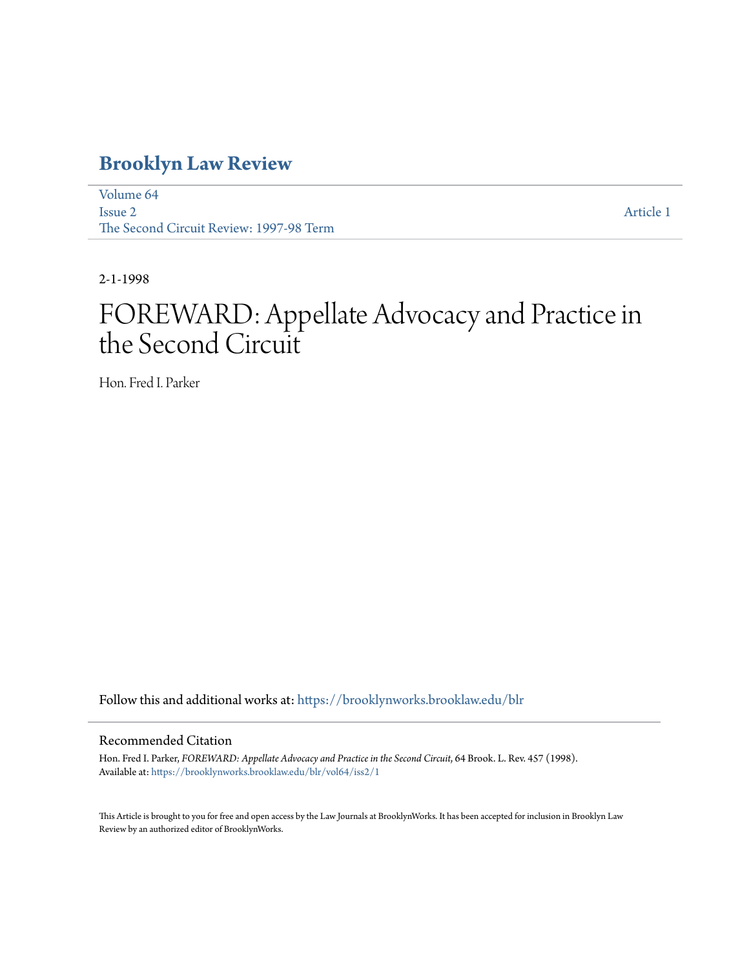# **[Brooklyn Law Review](https://brooklynworks.brooklaw.edu/blr?utm_source=brooklynworks.brooklaw.edu%2Fblr%2Fvol64%2Fiss2%2F1&utm_medium=PDF&utm_campaign=PDFCoverPages)**

[Volume 64](https://brooklynworks.brooklaw.edu/blr/vol64?utm_source=brooklynworks.brooklaw.edu%2Fblr%2Fvol64%2Fiss2%2F1&utm_medium=PDF&utm_campaign=PDFCoverPages) [Issue 2](https://brooklynworks.brooklaw.edu/blr/vol64/iss2?utm_source=brooklynworks.brooklaw.edu%2Fblr%2Fvol64%2Fiss2%2F1&utm_medium=PDF&utm_campaign=PDFCoverPages) The Second Circuit Review: 1997-98 Term

[Article 1](https://brooklynworks.brooklaw.edu/blr/vol64/iss2/1?utm_source=brooklynworks.brooklaw.edu%2Fblr%2Fvol64%2Fiss2%2F1&utm_medium=PDF&utm_campaign=PDFCoverPages)

2-1-1998

# FOREWARD: Appellate Advocacy and Practice in the Second Circuit

Hon. Fred I. Parker

Follow this and additional works at: [https://brooklynworks.brooklaw.edu/blr](https://brooklynworks.brooklaw.edu/blr?utm_source=brooklynworks.brooklaw.edu%2Fblr%2Fvol64%2Fiss2%2F1&utm_medium=PDF&utm_campaign=PDFCoverPages)

### Recommended Citation

Hon. Fred I. Parker, *FOREWARD: Appellate Advocacy and Practice in the Second Circuit*, 64 Brook. L. Rev. 457 (1998). Available at: [https://brooklynworks.brooklaw.edu/blr/vol64/iss2/1](https://brooklynworks.brooklaw.edu/blr/vol64/iss2/1?utm_source=brooklynworks.brooklaw.edu%2Fblr%2Fvol64%2Fiss2%2F1&utm_medium=PDF&utm_campaign=PDFCoverPages)

This Article is brought to you for free and open access by the Law Journals at BrooklynWorks. It has been accepted for inclusion in Brooklyn Law Review by an authorized editor of BrooklynWorks.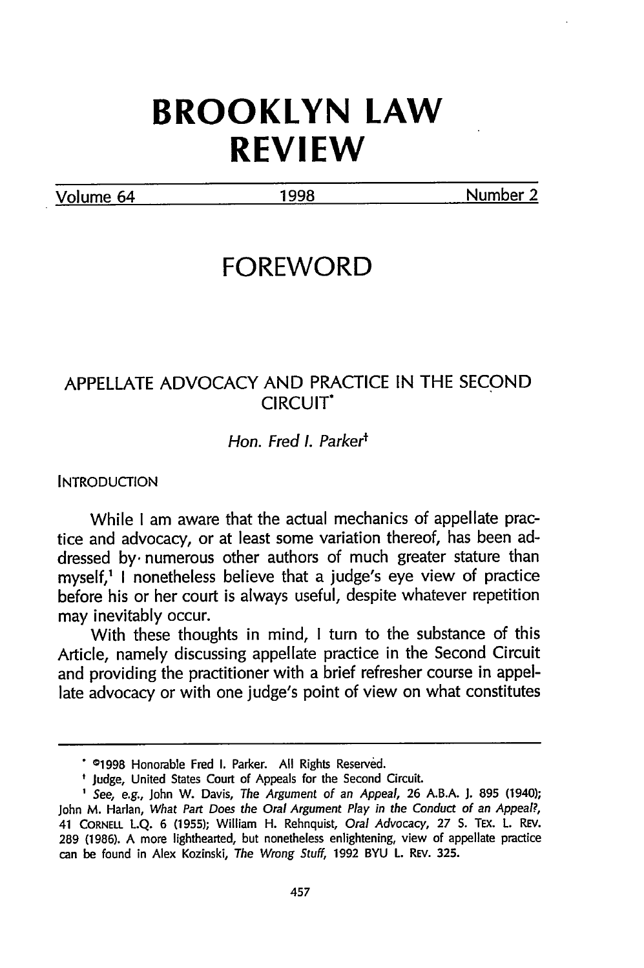# **BROOKLYN LAW REVIEW**

Volume 64 1998 Number 2

## **FOREWORD**

## APPELLATE ADVOCACY AND PRACTICE IN THE SECOND CIRCUIT\*

#### Hon. Fred *I.* Parkerf

**INTRODUCTION** 

While I am aware that the actual mechanics of appellate practice and advocacy, or at least some variation thereof, has been addressed **by.** numerous other authors of much greater stature than myself,' I nonetheless believe that a judge's eye view of practice before his or her court is always useful, despite whatever repetition may inevitably occur.

With these thoughts in mind, I turn to the substance of this Article, namely discussing appellate practice in the Second Circuit and providing the practitioner with a brief refresher course in appellate advocacy or with one judge's point of view on what constitutes

**<sup>01998</sup>** Honorable Fred **I.** Parker. All Rights Reserved.

<sup>&</sup>lt;sup>t</sup> Judge, United States Court of Appeals for the Second Circuit.

**<sup>1</sup>**See, e.g., John W. Davis, The Argument of an Appeal, 26 A.B.A. **J.** 895 (1940); John M. Harlan, What Part Does the Oral Argument Play in the Conduct of an Appeal?, <sup>41</sup>CORNELL L.Q. 6 (1955); William H. Rehnquist, Oral Advocacy, 27 **S.** TEx. L. REv. 289 (1986). A more lighthearted, but nonetheless enlightening, view of appellate practice can be found in Alex Kozinski, The Wrong *Stuff,* 1992 BYU L. REv. 325.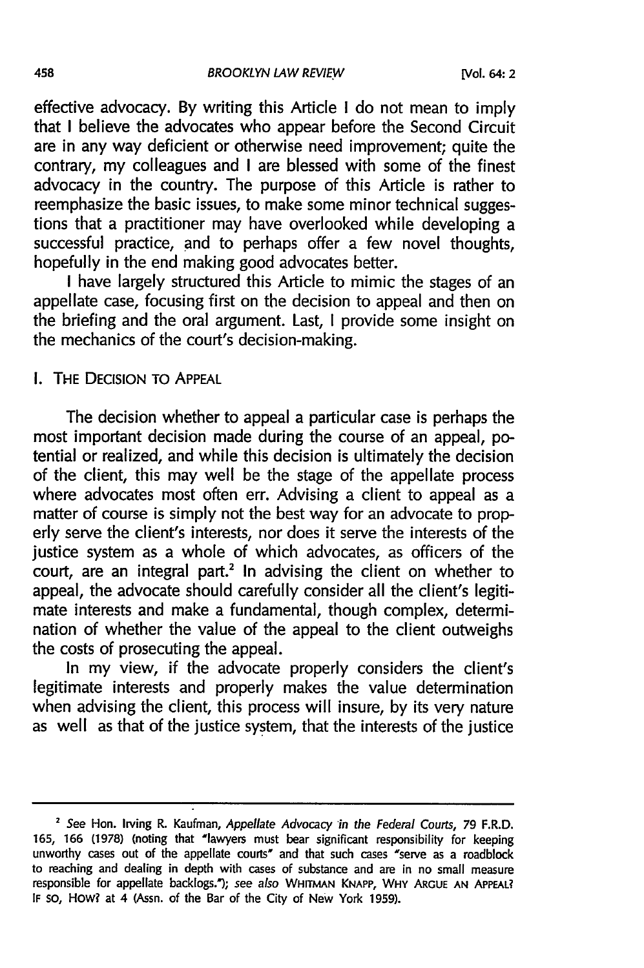BROOKLYN LAW REVIEW

effective advocacy. By writing this Article I do not mean to imply that I believe the advocates who appear before the Second Circuit are in any way deficient or otherwise need improvement; quite the contrary, my colleagues and I are blessed with some of the finest advocacy in the country. The purpose of this Article is rather to reemphasize the basic issues, to make some minor technical suggestions that a practitioner may have overlooked while developing a successful practice, and to perhaps offer a few novel thoughts, hopefully in the end making good advocates better.

I have largely structured this Article to mimic the stages of an appellate case, focusing first on the decision to appeal and then on the briefing and the oral argument. Last, I provide some insight on the mechanics of the court's decision-making.

#### I. THE DECISION TO APPEAL

The decision whether to appeal a particular case is perhaps the most important decision made during the course of an appeal, potential or realized, and while this decision is ultimately the decision of the client, this may well be the stage of the appellate process where advocates most often err. Advising a client to appeal as a matter of course is simply not the best way for an advocate to properly serve the client's interests, nor does it serve the interests of the justice system as a whole of which advocates, as officers of the court, are an integral part.<sup>2</sup> In advising the client on whether to appeal, the advocate should carefully consider all the client's legitimate interests and make a fundamental, though complex, determination of whether the value of the appeal to the client outweighs the costs of prosecuting the appeal.

In my view, if the advocate properly considers the client's legitimate interests and properly makes the value determination when advising the client, this process will insure, by its very nature as well as that of the justice system, that the interests of the justice

**<sup>2</sup>** See Hon. Irving R. Kaufman, Appellate Advocacy in the Federal Courts, **79** F.R.D. **165, 166 (1978)** (noting that "lawyers must bear significant responsibility for keeping unworthy cases out of the appellate courts' and that such cases "serve as a roadblock to reaching and dealing in depth with cases of substance and are in no small measure responsible for appellate backlogs.); see also **WHrrMAN KNAPP, WHY ARGUE AN APPEAL? IF so, How? at** 4 (Assn. of the Bar of the City of New York **1959).**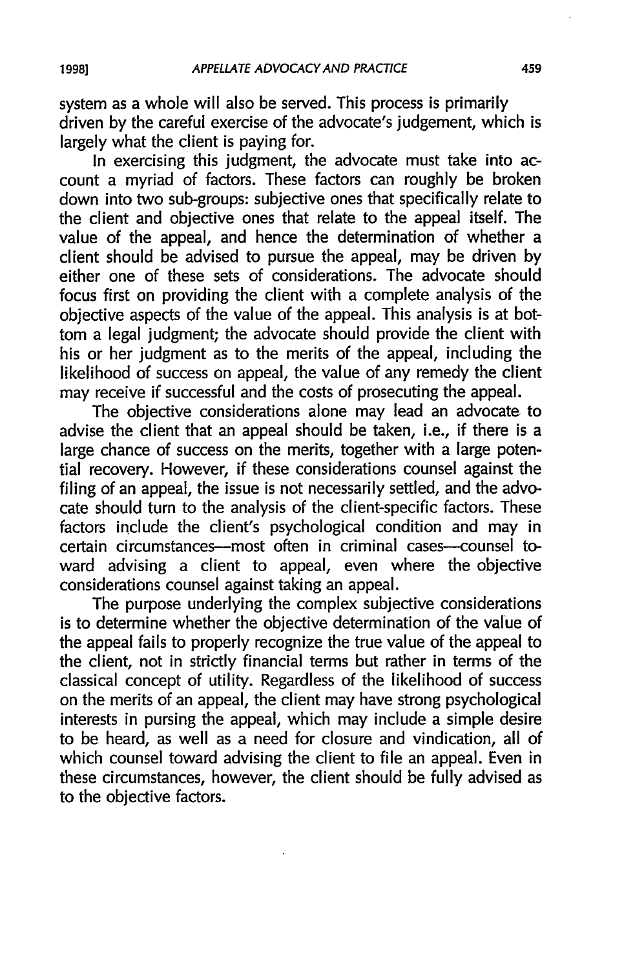system as a whole will also be served. This process is primarily driven by the careful exercise of the advocate's judgement, which is largely what the client is paying for.

In exercising this judgment, the advocate must take into account a myriad of factors. These factors can roughly be broken down into two sub-groups: subjective ones that specifically relate to the client and objective ones that relate to the appeal itself. The value of the appeal, and hence the determination of whether a client should be advised to pursue the appeal, may be driven by either one of these sets of considerations. The advocate should focus first on providing the client with a complete analysis of the objective aspects of the value of the appeal. This analysis is at bottom a legal judgment; the advocate should provide the client with his or her judgment as to the merits of the appeal, including the likelihood of success on appeal, the value of any remedy the client may receive if successful and the costs of prosecuting the appeal.

The objective considerations alone may lead an advocate to advise the client that an appeal should be taken, i.e., if there is a large chance of success on the merits, together with a large potential recovery. However, if these considerations counsel against the filing of an appeal, the issue is not necessarily settled, and the advocate should turn to the analysis of the client-specific factors. These factors include the client's psychological condition and may in certain circumstances---most often in criminal cases---counsel toward advising a client to appeal, even where the objective considerations counsel against taking an appeal.

The purpose underlying the complex subjective considerations is to determine whether the objective determination of the value of the appeal fails to properly recognize the true value of the appeal to the client, not in strictly financial terms but rather in terms of the classical concept of utility. Regardless of the likelihood of success on the merits of an appeal, the client may have strong psychological interests in pursing the appeal, which may include a simple desire to be heard, as well as a need for closure and vindication, all of which counsel toward advising the client to file an appeal. Even in these circumstances, however, the client should be fully advised as to the objective factors.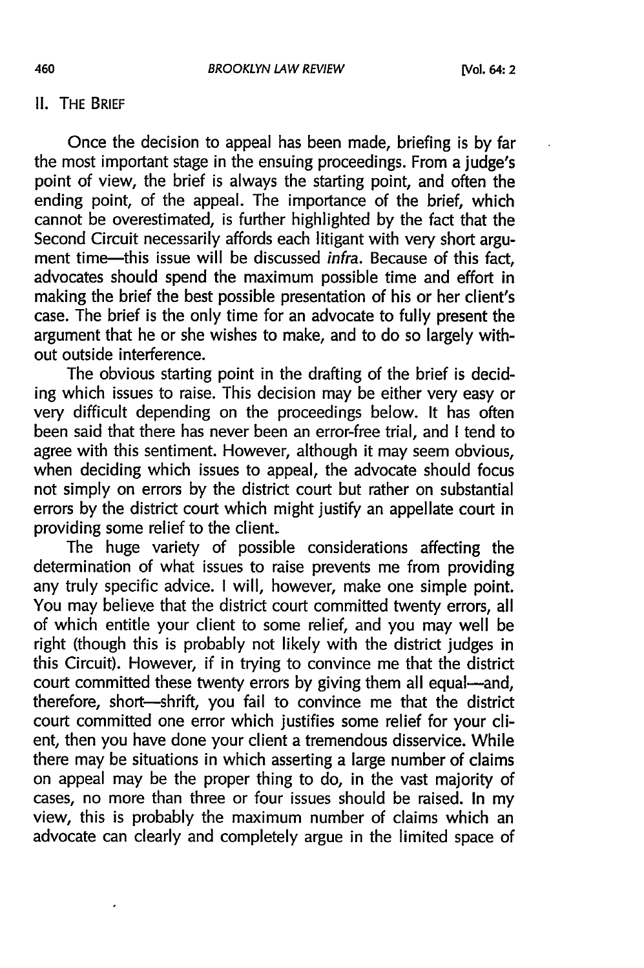### **II. THE BRIEF**

Once the decision to appeal has been made, briefing is by far the most important stage in the ensuing proceedings. From a judge's point of view, the brief is always the starting point, and often the ending point, of the appeal. The importance of the brief, which cannot be overestimated, is further highlighted by the fact that the Second Circuit necessarily affords each litigant with very short argument time-this issue will be discussed *infra*. Because of this fact, advocates should spend the maximum possible time and effort in making the brief the best possible presentation of his or her client's case. The brief is the only time for an advocate to fully present the argument that he or she wishes to make, and to do so largely without outside interference.

The obvious starting point in the drafting of the brief is deciding which issues to raise. This decision may be either very easy or very difficult depending on the proceedings below. It has often been said that there has never been an error-free trial, and I tend to agree with this sentiment. However, although it may seem obvious, when deciding which issues to appeal, the advocate should focus not simply on errors by the district court but rather on substantial errors by the district court which might justify an appellate court in providing some relief to the client.

The huge variety of possible considerations affecting the determination of what issues to raise prevents me from providing any truly specific advice. I will, however, make one simple point. You may believe that the district court committed twenty errors, all of which entitle your client to some relief, and you may well be right (though this is probably not likely with the district judges in this Circuit). However, if in trying to convince me that the district court committed these twenty errors by giving them all equal-and, therefore, short-shrift, you fail to convince me that the district court committed one error which justifies some relief for your client, then you have done your client a tremendous disservice. While there may be situations in which asserting a large number of claims on appeal may be the proper thing to do, in the vast majority of cases, no more than three or four issues should be raised. In my view, this is probably the maximum number of claims which an advocate can clearly and completely argue in the limited space of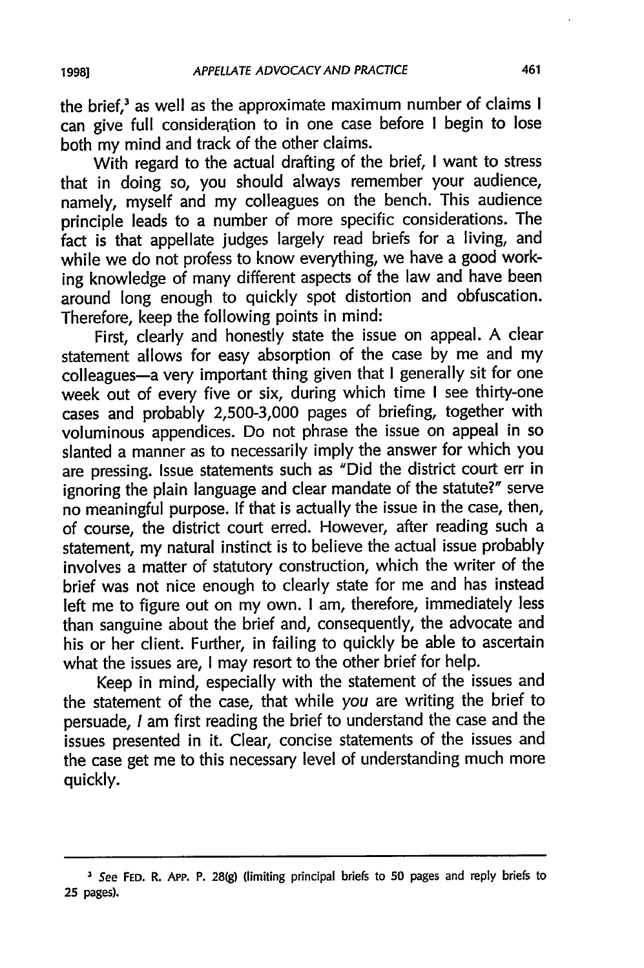the brief,<sup>3</sup> as well as the approximate maximum number of claims I can give full consideration to in one case before I begin to lose both my mind and track of the other claims.

With regard to the actual drafting of the brief, I want to stress that in doing so, you should always remember your audience, namely, myself and my colleagues on the bench. This audience principle leads to a number of more specific considerations. The fact is that appellate judges largely read briefs for a living, and while we do not profess to know everything, we have a good working knowledge of many different aspects of the law and have been around long enough to quickly spot distortion and obfuscation. Therefore, keep the following points in mind:

First, clearly and honestly state the issue on appeal. A clear statement allows for easy absorption of the case by me and my colleagues-a very important thing given that I generally sit for one week out of every five or six, during which time **I** see thirty-one cases and probably **2,500-3,000** pages of briefing, together with voluminous appendices. Do not phrase the issue on appeal in so slanted a manner as to necessarily imply the answer for which you are pressing. Issue statements such as "Did the district court err in ignoring the plain language and clear mandate of the statute?" serve no meaningful purpose. **If** that is actually the issue in the case, then, of course, the district court erred. However, after reading such a statement, my natural instinct is to believe the actual issue probably involves a matter of statutory construction, which the writer of the brief was not nice enough to clearly state for me and has instead left me to figure out on my own. **I** am, therefore, immediately less than sanguine about the brief and, consequently, the advocate and his or her client. Further, in failing to quickly be able to ascertain what the issues are, **I** may resort to the other brief for help.

Keep in mind, especially with the statement of the issues and the statement of the case, that while *you* are writing the brief to persuade, **I** am first reading the brief to understand the case and the issues presented in it. Clear, concise statements of the issues and the case get me to this necessary level of understanding much more quickly.

*<sup>3</sup>* See **FED.** R. **App. P. 28(g)** (limiting principal briefs to **50** pages and reply briefs to **25** pages).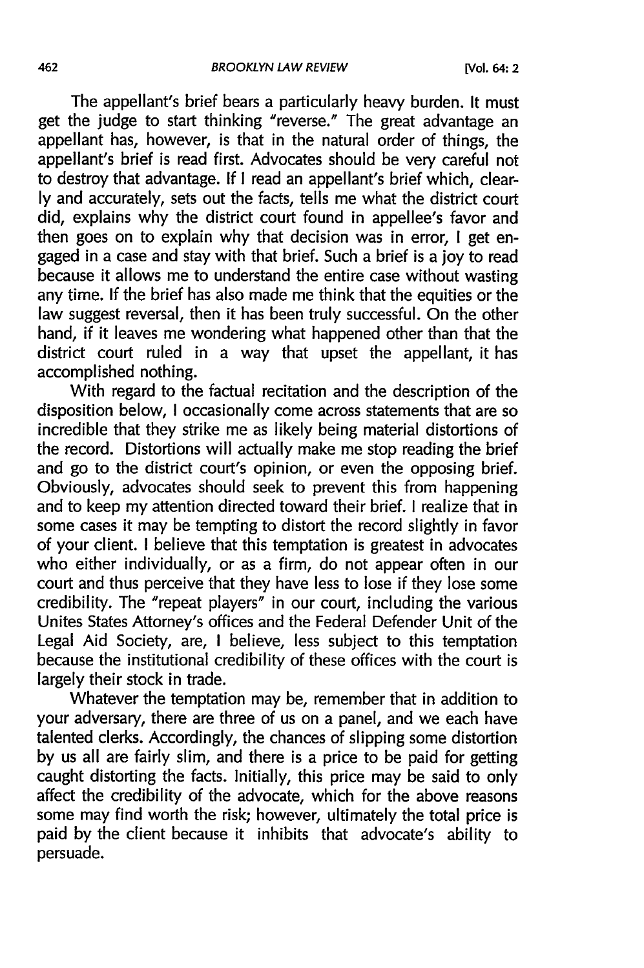The appellant's brief bears a particularly heavy burden. It must get the judge to start thinking "reverse." The great advantage an appellant has, however, is that in the natural order of things, the appellant's brief is read first. Advocates should be very careful not to destroy that advantage. If I read an appellant's brief which, clearly and accurately, sets out the facts, tells me what the district court did, explains why the district court found in appellee's favor and then goes on to explain why that decision was in error, I get engaged in a case and stay with that brief. Such a brief is a joy to read because it allows me to understand the entire case without wasting any time. If the brief has also made me think that the equities or the law suggest reversal, then it has been truly successful. On the other hand, if it leaves me wondering what happened other than that the district court ruled in a way that upset the appellant, it has accomplished nothing.

With regard to the factual recitation and the description of the disposition below, I occasionally come across statements that are so incredible that they strike me as likely being material distortions of the record. Distortions will actually make me stop reading the brief and go to the district court's opinion, or even the opposing brief. Obviously, advocates should seek to prevent this from happening and to keep my attention directed toward their brief. I realize that in some cases it may be tempting to distort the record slightly in favor of your client. I believe that this temptation is greatest in advocates who either individually, or as a firm, do not appear often in our court and thus perceive that they have less to lose if they lose some credibility. The "repeat players" in our court, including the various Unites States Attorney's offices and the Federal Defender Unit of the Legal Aid Society, are, I believe, less subject to this temptation because the institutional credibility of these offices with the court is largely their stock in trade.

Whatever the temptation may be, remember that in addition to your adversary, there are three of us on a panel, and we each have talented clerks. Accordingly, the chances of slipping some distortion by us all are fairly slim, and there is a price to be paid for getting caught distorting the facts. Initially, this price may be said to only affect the credibility of the advocate, which for the above reasons some may find worth the risk; however, ultimately the total price is paid by the client because it inhibits that advocate's ability to persuade.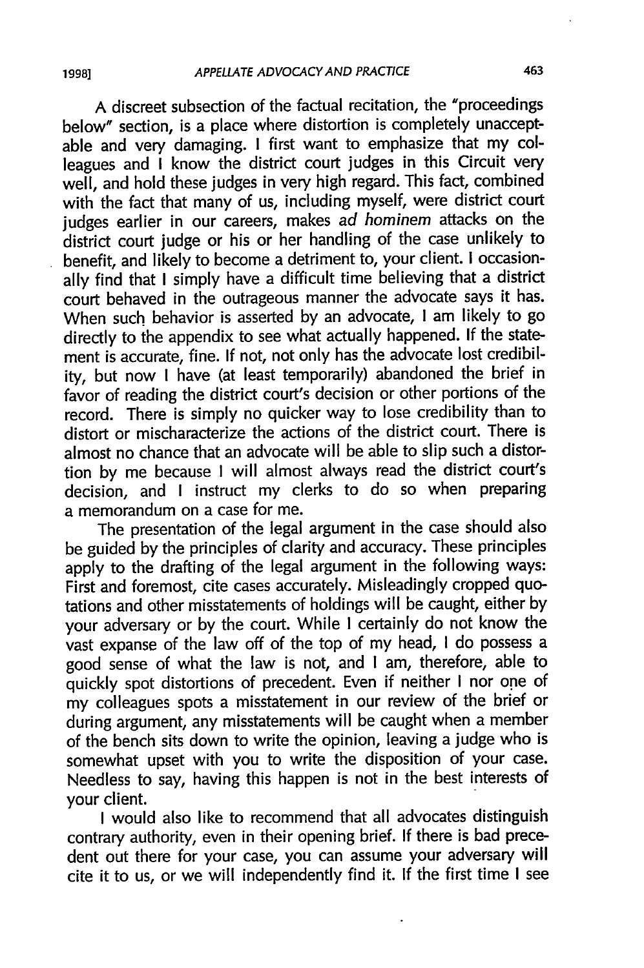A discreet subsection of the factual recitation, the "proceedings below" section, is a place where distortion is completely unacceptable and very damaging. I first want to emphasize that my colleagues and I know the district court judges in this Circuit very well, and hold these judges in very high regard. This fact, combined with the fact that many of us, including myself, were district court judges earlier in our careers, makes ad hominem attacks on the district court judge or his or her handling of the case unlikely to benefit, and likely to become a detriment to, your client. I occasionally find that I simply have a difficult time believing that a district court behaved in the outrageous manner the advocate says it has. When such behavior is asserted by an advocate, I am likely to go directly to the appendix to see what actually happened. If the statement is accurate, fine. If not, not only has the advocate lost credibility, but now I have (at least temporarily) abandoned the brief in favor of reading the district court's decision or other portions of the record. There is simply no quicker way to lose credibility than to distort or mischaracterize the actions of the district court. There is almost no chance that an advocate will be able to slip such a distortion by me because I will almost always read the district court's decision, and I instruct my clerks to do so when preparing a memorandum on a case for me.

The presentation of the legal argument in the case should also be guided by the principles of clarity and accuracy. These principles apply to the drafting of the legal argument in the following ways: First and foremost, cite cases accurately. Misleadingly cropped quotations and other misstatements of holdings will be caught, either by your adversary or by the court. While I certainly do not know the vast expanse of the law off of the top of my head, I do possess a good sense of what the law is not, and I am, therefore, able to quickly spot distortions of precedent. Even if neither I nor one of my colleagues spots a misstatement in our review of the brief or during argument, any misstatements will be caught when a member of the bench sits down to write the opinion, leaving a judge who is somewhat upset with you to write the disposition of your case. Needless to say, having this happen is not in the best interests of your client.

I would also like to recommend that all advocates distinguish contrary authority, even in their opening brief. If there is bad precedent out there for your case, you can assume your adversary will cite it to us, or we will independently find it. If the first time I see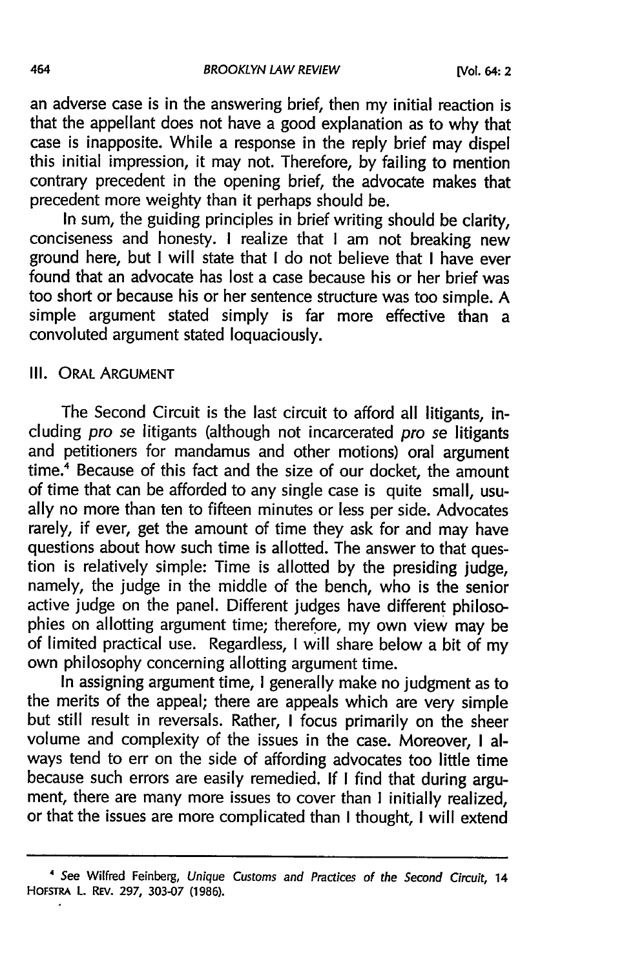an adverse case is in the answering brief, then my initial reaction is that the appellant does not have a good explanation as to why that case is inapposite. While a response in the reply brief may dispel this initial impression, it may not. Therefore, by failing to mention contrary precedent in the opening brief, the advocate makes that precedent more weighty than it perhaps should be.

In sum, the guiding principles in brief writing should be clarity, conciseness and honesty. I realize that I am not breaking new ground here, but I will state that I do not believe that I have ever found that an advocate has lost a case because his or her brief was too short or because his or her sentence structure was too simple. A simple argument stated simply is far more effective than a convoluted argument stated loquaciously.

#### Ill. ORAL ARGUMENT

The Second Circuit is the last circuit to afford all litigants, including pro se litigants (although not incarcerated pro se litigants and petitioners for mandamus and other motions) oral argument time.<sup>4</sup> Because of this fact and the size of our docket, the amount of time that can be afforded to any single case is quite small, usually no more than ten to fifteen minutes or less per side. Advocates rarely, if ever, get the amount of time they ask for and may have questions about how such time is allotted. The answer to that question is relatively simple: Time is allotted by the presiding judge, namely, the judge in the middle of the bench, who is the senior active judge on the panel. Different judges have different philosophies on allotting argument time; therefore, my own view may be of limited practical use. Regardless, I will share below a bit of my own philosophy concerning allotting argument time.

In assigning argument time, I generally make no judgment as to the merits of the appeal; there are appeals which are very simple but still result in reversals. Rather, I focus primarily on the sheer volume and complexity of the issues in the case. Moreover, I always tend to err on the side of affording advocates too little time because such errors are easily remedied. If I find that during argument, there are many more issues to cover than I initially realized, or that the issues are more complicated than I thought, I will extend

*<sup>&</sup>quot;* See Wilfred Feinberg, Unique *Customs* and Practices of the Second Circuit, 14 **HOFSTRA L.** REv. **297, 303-07 (1986).**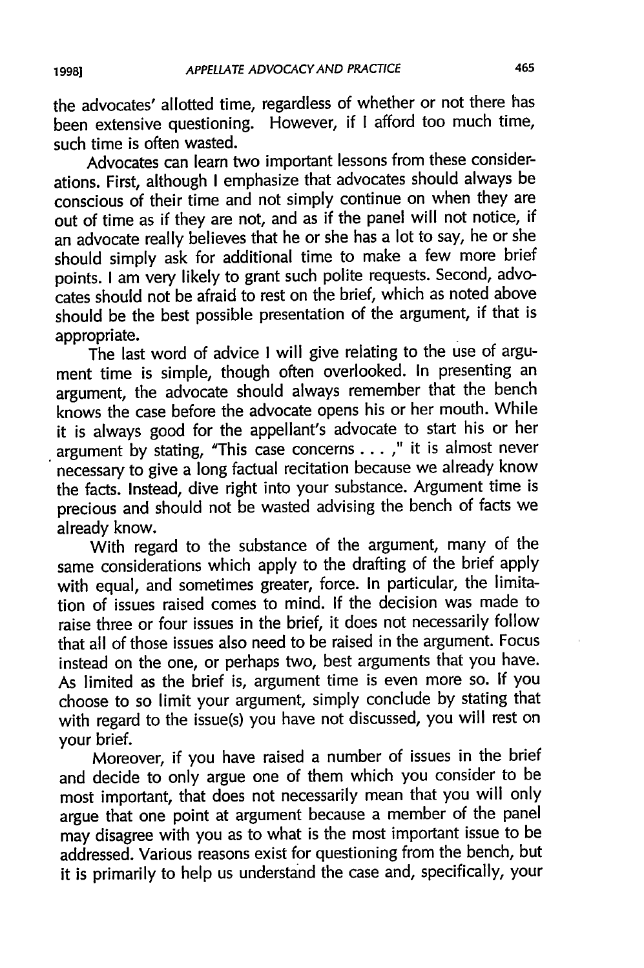the advocates' allotted time, regardless of whether or not there has been extensive questioning. However, if I afford too much time, such time is often wasted.

Advocates can learn two important lessons from these considerations. First, although I emphasize that advocates should always be conscious of their time and not simply continue on when they are out of time as if they are not, and as if the panel will not notice, if an advocate really believes that he or she has a lot to say, he or she should simply ask for additional time to make a few more brief points. **I** am very likely to grant such polite requests. Second, advocates should not be afraid to rest on the brief, which as noted above should be the best possible presentation of the argument, if that is appropriate.

The last word of advice I will give relating to the use of argument time is simple, though often overlooked. In presenting an argument, the advocate should always remember that the bench knows the case before the advocate opens his or her mouth. While it is always good for the appellant's advocate to start his or her argument by stating, "This case concerns ... **,"** it is almost never necessary to give a long factual recitation because we already know the facts. Instead, dive right into your substance. Argument time is precious and should not be wasted advising the bench of facts we already know.

With regard to the substance of the argument, many of the same considerations which apply to the drafting of the brief apply with equal, and sometimes greater, force. In particular, the limitation of issues raised comes to mind. If the decision was made to raise three or four issues in the brief, it does not necessarily follow that all of those issues also need to be raised in the argument. Focus instead on the one, or perhaps two, best arguments that you have. As limited as the brief is, argument time is even more so. If you choose to so limit your argument, simply conclude by stating that with regard to the issue(s) you have not discussed, you will rest on your brief.

Moreover, if you have raised a number of issues in the brief and decide to only argue one of them which you consider to be most important, that does not necessarily mean that you will only argue that one point at argument because a member of the panel may disagree with you as to what is the most important issue to be addressed. Various reasons exist for questioning from the bench, but it is primarily to help us understand the case and, specifically, your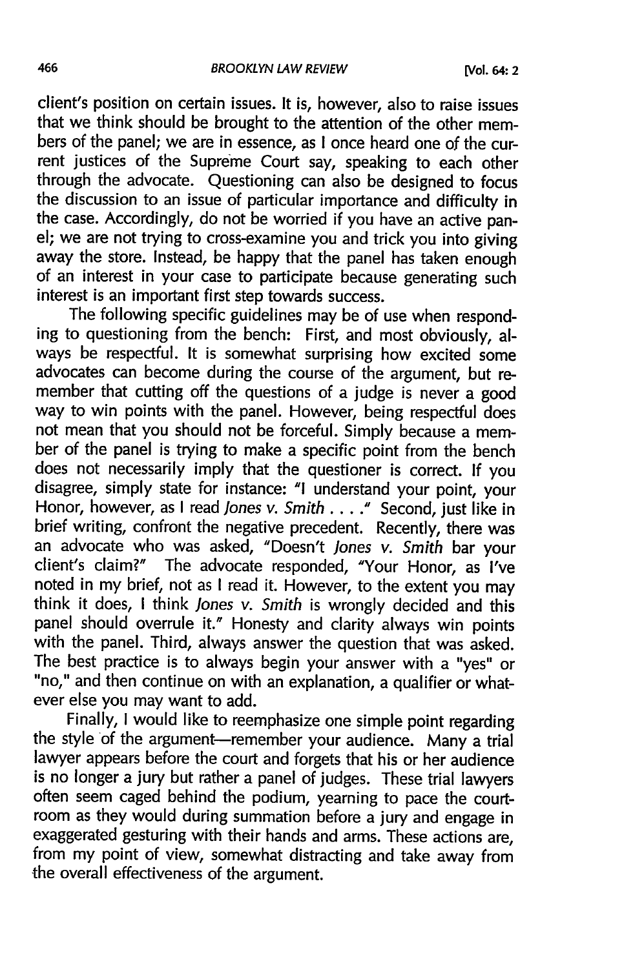client's position on certain issues. It is, however, also to raise issues that we think should be brought to the attention of the other members of the panel; we are in essence, as I once heard one of the current justices of the Supreme Court say, speaking to each other through the advocate. Questioning can also be designed to focus the discussion to an issue of particular importance and difficulty in the case. Accordingly, do not be worried if you have an active panel; we are not trying to cross-examine you and trick you into giving away the store. Instead, be happy that the panel has taken enough of an interest in your case to participate because generating such interest is an important first step towards success.

The following specific guidelines may be of use when responding to questioning from the bench: First, and most obviously, always be respectful. It is somewhat surprising how excited some advocates can become during the course of the argument, but remember that cutting off the questions of a judge is never a good way to win points with the panel. However, being respectful does not mean that you should not be forceful. Simply because a member of the panel is trying to make a specific point from the bench does not necessarily imply that the questioner is correct. If you disagree, simply state for instance: **"I** understand your point, your Honor, however, as I read *Jones v. Smith ....* **."** Second, just like in brief writing, confront the negative precedent. Recently, there was an advocate who was asked, "Doesn't *Jones* v. *Smith* bar your client's claim?" The advocate responded, 'Your Honor, as I've noted in my brief, not as I read it. However, to the extent you may think it does, I think *Jones v. Smith* is wrongly decided and this panel should overrule it." Honesty and clarity always win points with the panel. Third, always answer the question that was asked. The best practice is to always begin your answer with a "yes" or "no," and then continue on with an explanation, a qualifier or whatever else you may want to add.

Finally, I would like to reemphasize one simple point regarding the style of the argument-remember your audience. Many a trial lawyer appears before the court and forgets that his or her audience is no longer a jury but rather a panel of judges. These trial lawyers often seem caged behind the podium, yearning to pace the courtroom as they would during summation before a jury and engage in exaggerated gesturing with their hands and arms. These actions are, from my point of view, somewhat distracting and take away from the overall effectiveness of the argument.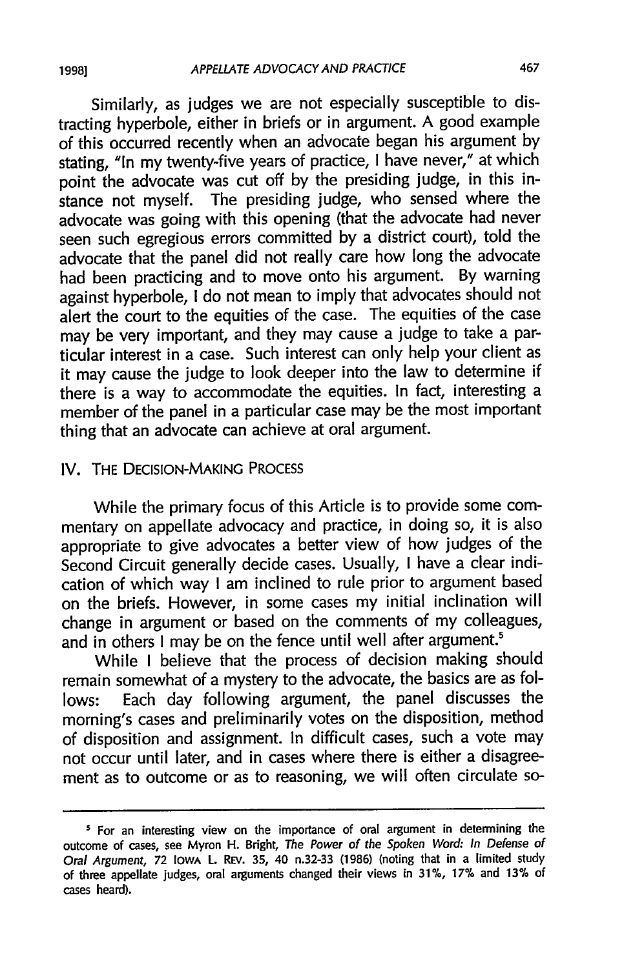Similarly, as judges we are not especially susceptible to distracting hyperbole, either in briefs or in argument. A good example of this occurred recently when an advocate began his argument by stating, "In my twenty-five years of practice, I have never," at which point the advocate was cut off by the presiding judge, in this instance not myself. The presiding judge, who sensed where the advocate was going with this opening (that the advocate had never seen such egregious errors committed by a district court), told the advocate that the panel did not really care how long the advocate had been practicing and to move onto his argument. By warning against hyperbole, I do not mean to imply that advocates should not alert the court to the equities of the case. The equities of the case may be very important, and they may cause a judge to take a particular interest in a case. Such interest can only help your client as it may cause the judge to look deeper into the law to determine if there is a way to accommodate the equities. In fact, interesting a member of the panel in a particular case may be the most important thing that an advocate can achieve at oral argument.

#### IV. THE DECISION-MAKING PROCESS

While the primary focus of this Article is to provide some commentary on appellate advocacy and practice, in doing so, it is also appropriate to give advocates a better view of how judges of the Second Circuit generally decide cases. Usually, I have a clear indication of which way I am inclined to rule prior to argument based on the briefs. However, in some cases my initial inclination will change in argument or based on the comments of my colleagues, and in others I may be on the fence until well after argument.<sup>5</sup>

While I believe that the process of decision making should remain somewhat of a mystery to the advocate, the basics are as follows: Each day following argument, the panel discusses the morning's cases and preliminarily votes on the disposition, method of disposition and assignment. In difficult cases, such a vote may not occur until later, and in cases where there is either a disagreement as to outcome or as to reasoning, we will often circulate so-

**<sup>&#</sup>x27;** For an interesting view on the importance of oral argument in determining the outcome of cases, see Myron H. Bright, The Power of the Spoken **Word:** In Defense of Oral Argument, **72 IOwA** L. REV. **35,** 40 n.32-33 **(1986)** (noting that in a limited study of three appellate judges, oral arguments changed their views in **31%, 17%** and **13%** of cases heard).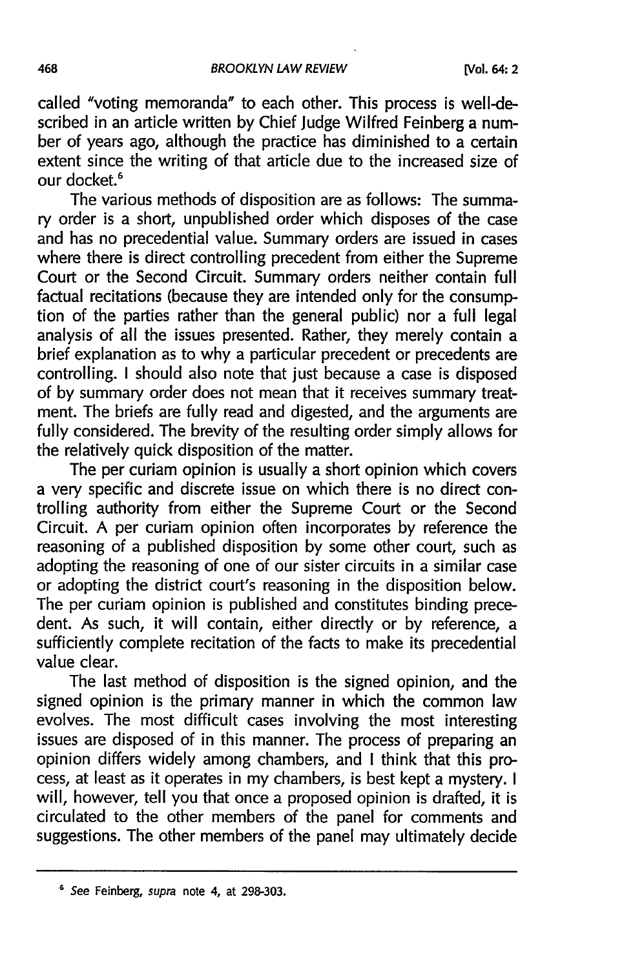called "voting memoranda" to each other. This process is well-described in an article written by Chief Judge Wilfred Feinberg a number of years ago, although the practice has diminished to a certain extent since the writing of that article due to the increased size of our docket.<sup>6</sup>

The various methods of disposition are as follows: The summary order is a short, unpublished order which disposes of the case and has no precedential value. Summary orders are issued in cases where there is direct controlling precedent from either the Supreme Court or the Second Circuit. Summary orders neither contain full factual recitations (because they are intended only for the consumption of the parties rather than the general public) nor a full legal analysis of all the issues presented. Rather, they merely contain a brief explanation as to why a particular precedent or precedents are controlling. I should also note that just because a case is disposed of by summary order does not mean that it receives summary treatment. The briefs are fully read and digested, and the arguments are fully considered. The brevity of the resulting order simply allows for the relatively quick disposition of the matter.

The per curiam opinion is usually a short opinion which covers a very specific and discrete issue on which there is no direct controlling authority from either the Supreme Court or the Second Circuit. A per curiam opinion often incorporates by reference the reasoning of a published disposition by some other court, such as adopting the reasoning of one of our sister circuits in a similar case or adopting the district court's reasoning in the disposition below. The per curiam opinion is published and constitutes binding precedent. As such, it will contain, either directly or by reference, a sufficiently complete recitation of the facts to make its precedential value clear.

The last method of disposition is the signed opinion, and the signed opinion is the primary manner in which the common law evolves. The most difficult cases involving the most interesting issues are disposed of in this manner. The process of preparing an opinion differs widely among chambers, and I think that this process, at least as it operates in my chambers, is best kept a mystery. I will, however, tell you that once a proposed opinion is drafted, it is circulated to the other members of the panel for comments and suggestions. The other members of the panel may ultimately decide

**<sup>6</sup>** See Feinberg, supra note 4, at **298-303.**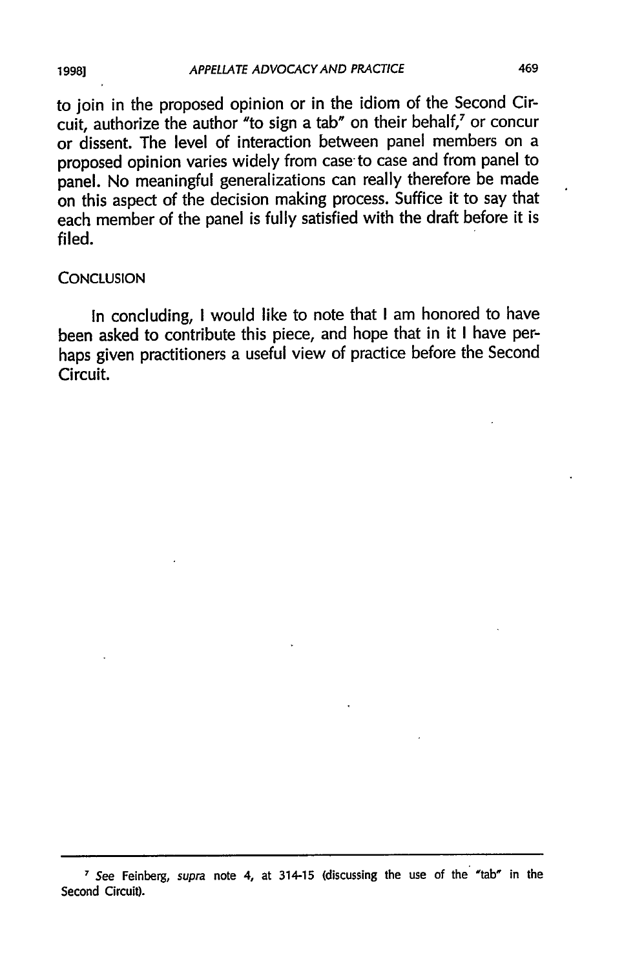to join in the proposed opinion or in the idiom of the Second Circuit, authorize the author "to sign a tab" on their behalf,' or concur or dissent. The level of interaction between panel members on a proposed opinion varies widely from case to case and from panel to panel. No meaningful generalizations can really therefore be made on this aspect of the decision making process. Suffice it to say that each member of the panel is fully satisfied with the draft before it is filed.

#### **CONCLUSION**

In concluding, I would like to note that I am honored to have been asked to contribute this piece, and hope that in it I have perhaps given practitioners a useful view of practice before the Second Circuit.

**1998]**

**<sup>7</sup>**See Feinberg, supra note 4, at 314-15 (discussing the **use** of the 'tab' in the Second Circuit).